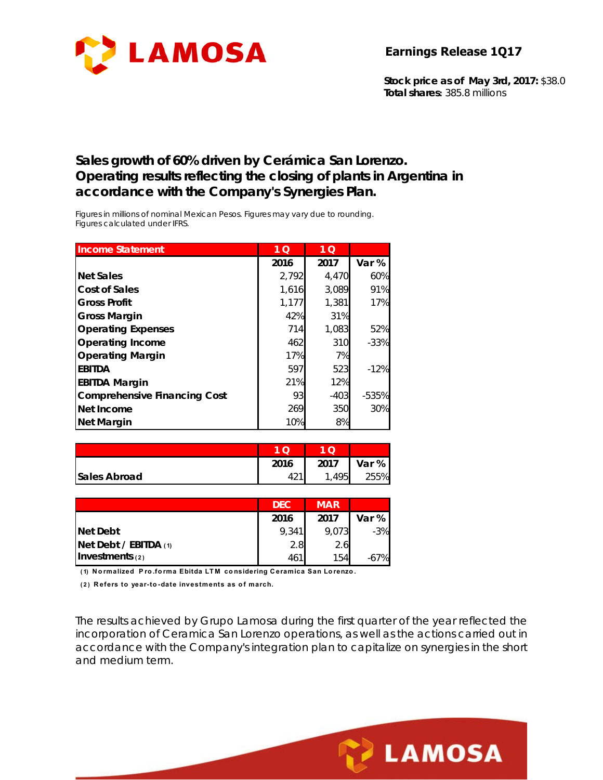

**Stock price as of May 3rd, 2017:** \$38.0 **Total shares:** 385.8 millions

#### **Sales growth of 60% driven by Cerámica San Lorenzo. Operating results reflecting the closing of plants in Argentina in accordance with the Company's Synergies Plan.**

*Figures in millions of nominal Mexican Pesos. Figures may vary due to rounding. Figures calculated under IFRS.* 

| <b>Income Statement</b>             | 1 <sub>O</sub> | $1\overline{Q}$ |         |
|-------------------------------------|----------------|-----------------|---------|
|                                     | 2016           | 2017            | Var %   |
| <b>Net Sales</b>                    | 2,792          | 4.470           | 60%     |
| <b>Cost of Sales</b>                | 1,616          | 3,089           | 91%     |
| <b>Gross Profit</b>                 | 1,177          | 1,381           | 17%     |
| <b>Gross Margin</b>                 | 42%            | 31%             |         |
| <b>Operating Expenses</b>           | 714            | 1,083           | 52%     |
| Operating Income                    | 462            | 310             | $-33%$  |
| <b>Operating Margin</b>             | 17%            | 7%              |         |
| <b>EBITDA</b>                       | 597            | 523             | $-12%$  |
| <b>EBITDA Margin</b>                | 21%            | 12%             |         |
| <b>Comprehensive Financing Cost</b> | 93             | $-403$          | $-535%$ |
| Net Income                          | 269            | 350             | 30%     |
| <b>Net Margin</b>                   | 10%            | 8%              |         |

|                     | 2016 | 2017 | Var % |
|---------------------|------|------|-------|
| <b>Sales Abroad</b> |      | 495  | 255%  |

|                         | <b>DEC</b> | <b>MAR</b> |       |
|-------------------------|------------|------------|-------|
|                         | 2016       | 2017       | Var % |
| <b>Net Debt</b>         | 9.341      | 9,073      | $-3%$ |
| Net Debt / EBITDA $(1)$ | 2.8        | 2.6        |       |
| Investments $(2)$       | 461        | 154        | -67%  |

**( 1) Normalized P ro.forma Ebitda LTM considering Ceramica San Lorenzo.**

(2) Refers to year-to-date investments as of march.

The results achieved by Grupo Lamosa during the first quarter of the year reflected the incorporation of Ceramica San Lorenzo operations, as well as the actions carried out in accordance with the Company's integration plan to capitalize on synergies in the short and medium term.

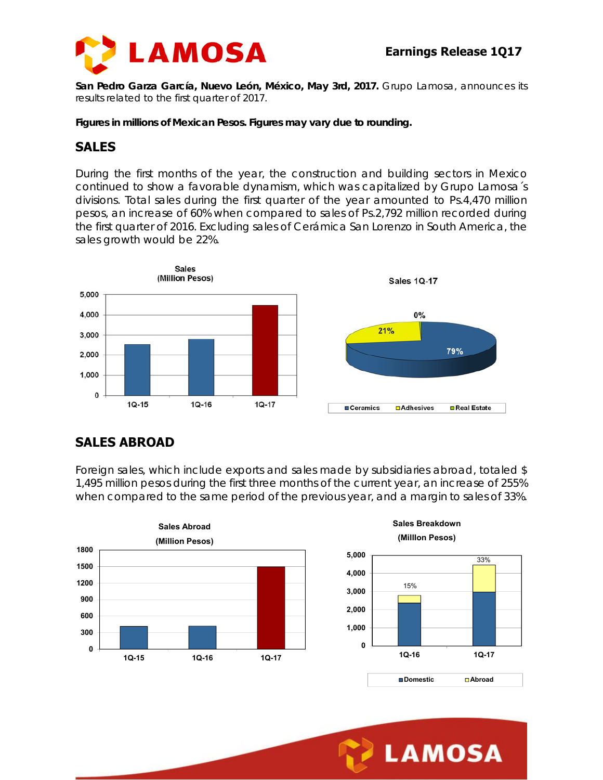

**San Pedro Garza García, Nuevo León, México, May 3rd, 2017.** Grupo Lamosa, announces its results related to the first quarter of 2017.

*Figures in millions of Mexican Pesos. Figures may vary due to rounding.* 

#### **SALES**

During the first months of the year, the construction and building sectors in Mexico continued to show a favorable dynamism, which was capitalized by Grupo Lamosa´s divisions. Total sales during the first quarter of the year amounted to Ps.4,470 million pesos, an increase of 60% when compared to sales of Ps.2,792 million recorded during the first quarter of 2016. Excluding sales of Cerámica San Lorenzo in South America, the sales growth would be 22%.



# **SALES ABROAD**

Foreign sales, which include exports and sales made by subsidiaries abroad, totaled \$ 1,495 million pesos during the first three months of the current year, an increase of 255% when compared to the same period of the previous year, and a margin to sales of 33%.

**5,000**







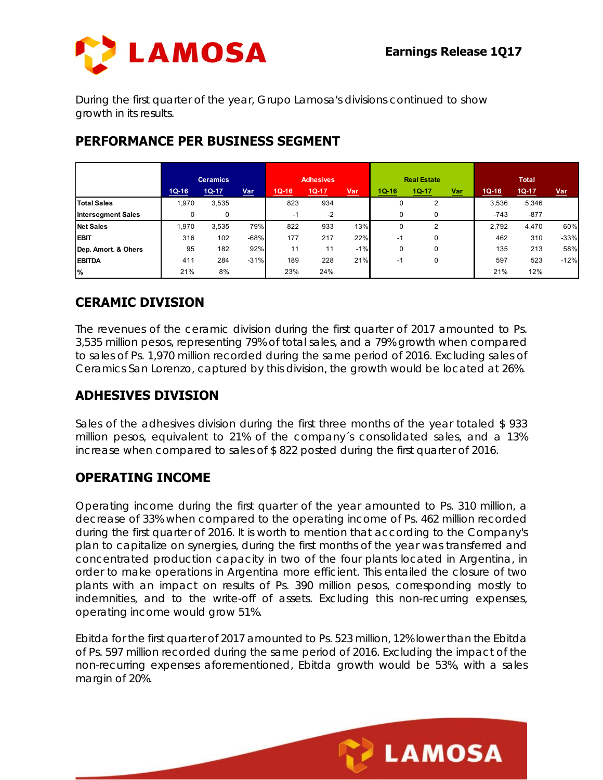

During the first quarter of the year, Grupo Lamosa's divisions continued to show growth in its results.

|                           | <b>Ceramics</b> |         | <b>Adhesives</b> |         | <b>Real Estate</b> |            |             | <b>Total</b> |            |         |         |            |
|---------------------------|-----------------|---------|------------------|---------|--------------------|------------|-------------|--------------|------------|---------|---------|------------|
|                           | $1Q-16$         | $1Q-17$ | <b>Var</b>       | $1Q-16$ | $1Q-17$            | <u>Var</u> | $1Q-16$     | $1Q-17$      | <u>Var</u> | $1Q-16$ | $1Q-17$ | <u>Var</u> |
| <b>Total Sales</b>        | 1,970           | 3,535   |                  | 823     | 934                |            | 0           | 2            |            | 3,536   | 5,346   |            |
| <b>Intersegment Sales</b> |                 | 0       |                  | $-1$    | $-2$               |            | $\mathbf 0$ | $\Omega$     |            | $-743$  | $-877$  |            |
| <b>Net Sales</b>          | 1.970           | 3,535   | 79%              | 822     | 933                | 13%        | 0           | 2            |            | 2.792   | 4,470   | 60%        |
| <b>EBIT</b>               | 316             | 102     | $-68%$           | 177     | 217                | 22%        | $-1$        | $\Omega$     |            | 462     | 310     | $-33%$     |
| Dep. Amort. & Ohers       | 95              | 182     | 92%              | 11      | 11                 | $-1%$      | $\mathbf 0$ | 0            |            | 135     | 213     | 58%        |
| <b>EBITDA</b>             | 411             | 284     | $-31%$           | 189     | 228                | 21%        | $-1$        | $\Omega$     |            | 597     | 523     | $-12%$     |
| $\frac{9}{6}$             | 21%             | 8%      |                  | 23%     | 24%                |            |             |              |            | 21%     | 12%     |            |

# **PERFORMANCE PER BUSINESS SEGMENT**

# **CERAMIC DIVISION**

The revenues of the ceramic division during the first quarter of 2017 amounted to Ps. 3,535 million pesos, representing 79% of total sales, and a 79% growth when compared to sales of Ps. 1,970 million recorded during the same period of 2016. Excluding sales of Ceramics San Lorenzo, captured by this division, the growth would be located at 26%.

### **ADHESIVES DIVISION**

Sales of the adhesives division during the first three months of the year totaled \$ 933 million pesos, equivalent to 21% of the company´s consolidated sales, and a 13% increase when compared to sales of \$ 822 posted during the first quarter of 2016.

### **OPERATING INCOME**

Operating income during the first quarter of the year amounted to Ps. 310 million, a decrease of 33% when compared to the operating income of Ps. 462 million recorded during the first quarter of 2016. It is worth to mention that according to the Company's plan to capitalize on synergies, during the first months of the year was transferred and concentrated production capacity in two of the four plants located in Argentina, in order to make operations in Argentina more efficient. This entailed the closure of two plants with an impact on results of Ps. 390 million pesos, corresponding mostly to indemnities, and to the write-off of assets. Excluding this non-recurring expenses, operating income would grow 51%.

Ebitda for the first quarter of 2017 amounted to Ps. 523 million, 12% lower than the Ebitda of Ps. 597 million recorded during the same period of 2016. Excluding the impact of the non-recurring expenses aforementioned, Ebitda growth would be 53%, with a sales margin of 20%.

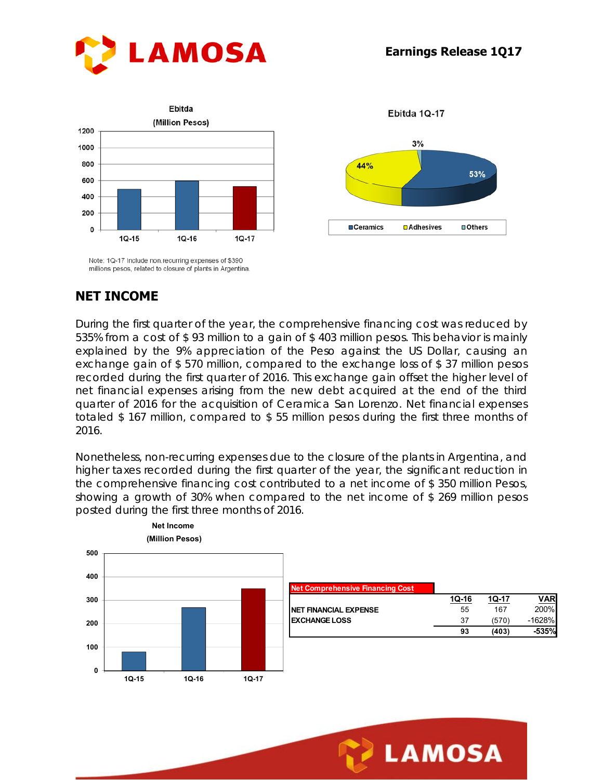53%

□ Others

Ebitda 1Q-17

 $3%$ 

**DAdhesives** 

44%

**OCeramics** 





Note: 1Q-17 Include non recurring expenses of \$390 millions pesos, related to closure of plants in Argentina

### **NET INCOME**

During the first quarter of the year, the comprehensive financing cost was reduced by 535% from a cost of \$ 93 million to a gain of \$ 403 million pesos. This behavior is mainly explained by the 9% appreciation of the Peso against the US Dollar, causing an exchange gain of \$ 570 million, compared to the exchange loss of \$ 37 million pesos recorded during the first quarter of 2016. This exchange gain offset the higher level of net financial expenses arising from the new debt acquired at the end of the third quarter of 2016 for the acquisition of Ceramica San Lorenzo. Net financial expenses totaled \$ 167 million, compared to \$ 55 million pesos during the first three months of 2016.

Nonetheless, non-recurring expenses due to the closure of the plants in Argentina, and higher taxes recorded during the first quarter of the year, the significant reduction in the comprehensive financing cost contributed to a net income of \$ 350 million Pesos, showing a growth of 30% when compared to the net income of \$ 269 million pesos posted during the first three months of 2016.



| <b>Net Comprehensive Financing Cost</b> |       |       |          |
|-----------------------------------------|-------|-------|----------|
|                                         | 10-16 | 10-17 | VAR      |
| <b>NET FINANCIAL EXPENSE</b>            | 55    | 167   | 200%     |
| <b>EXCHANGE LOSS</b>                    | 37    | (570) | $-1628%$ |
|                                         | 93    | (403) | -535%    |